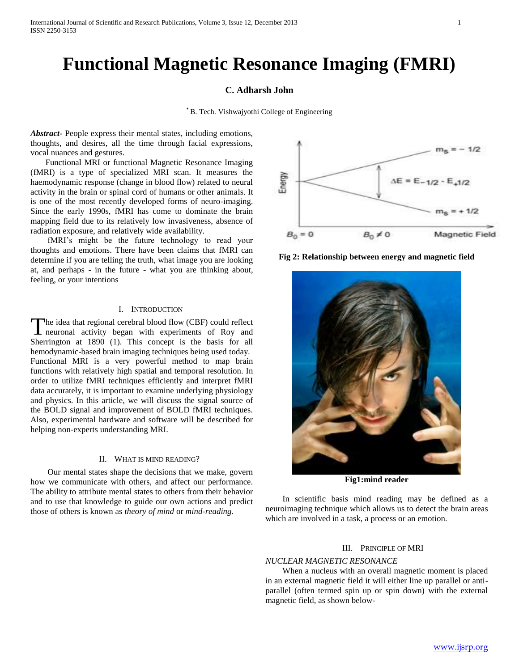# **Functional Magnetic Resonance Imaging (FMRI)**

# **C. Adharsh John**

\* B. Tech. Vishwajyothi College of Engineering

*Abstract***-** People express their mental states, including emotions, thoughts, and desires, all the time through facial expressions, vocal nuances and gestures.

 Functional MRI or functional Magnetic Resonance Imaging (fMRI) is a type of specialized MRI scan. It measures the haemodynamic response (change in blood flow) related to neural activity in the brain or spinal cord of humans or other animals. It is one of the most recently developed forms of neuro-imaging. Since the early 1990s, fMRI has come to dominate the brain mapping field due to its relatively low invasiveness, absence of radiation exposure, and relatively wide availability.

 fMRI's might be the future technology to read your thoughts and emotions. There have been claims that fMRI can determine if you are telling the truth, what image you are looking at, and perhaps - in the future - what you are thinking about, feeling, or your intentions

#### I. INTRODUCTION

he idea that regional cerebral blood flow (CBF) could reflect The idea that regional cerebral blood flow (CBF) could reflect<br>neuronal activity began with experiments of Roy and Sherrington at 1890 (1). This concept is the basis for all hemodynamic-based brain imaging techniques being used today. Functional MRI is a very powerful method to map brain functions with relatively high spatial and temporal resolution. In order to utilize fMRI techniques efficiently and interpret fMRI data accurately, it is important to examine underlying physiology and physics. In this article, we will discuss the signal source of the BOLD signal and improvement of BOLD fMRI techniques. Also, experimental hardware and software will be described for helping non-experts understanding MRI.

#### II. WHAT IS MIND READING?

 Our mental states shape the decisions that we make, govern how we communicate with others, and affect our performance. The ability to attribute mental states to others from their behavior and to use that knowledge to guide our own actions and predict those of others is known as *theory of mind* or *mind-reading.*



**Fig 2: Relationship between energy and magnetic field**



**Fig1:mind reader**

 In scientific basis mind reading may be defined as a neuroimaging technique which allows us to detect the brain areas which are involved in a task, a process or an emotion.

## III. PRINCIPLE OF MRI

#### *NUCLEAR MAGNETIC RESONANCE*

 When a nucleus with an overall magnetic moment is placed in an external magnetic field it will either line up parallel or antiparallel (often termed spin up or spin down) with the external magnetic field, as shown below-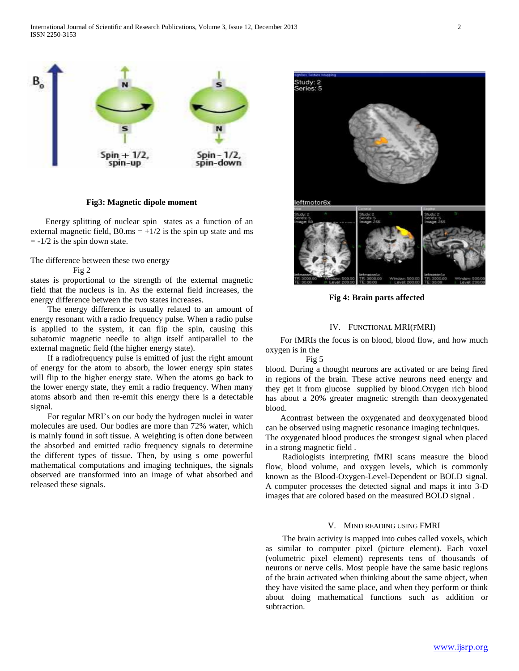

**Fig3: Magnetic dipole moment**

 Energy splitting of nuclear spin states as a function of an external magnetic field,  $B0 \text{ ms} = +1/2$  is the spin up state and ms  $= -1/2$  is the spin down state.

The difference between these two energy

Fig 2

states is proportional to the strength of the external magnetic field that the nucleus is in. As the external field increases, the energy difference between the two states increases.

 The energy difference is usually related to an amount of energy resonant with a radio frequency pulse. When a radio pulse is applied to the system, it can flip the spin, causing this subatomic magnetic needle to align itself antiparallel to the external magnetic field (the higher energy state).

 If a radiofrequency pulse is emitted of just the right amount of energy for the atom to absorb, the lower energy spin states will flip to the higher energy state. When the atoms go back to the lower energy state, they emit a radio frequency. When many atoms absorb and then re-emit this energy there is a detectable signal.

 For regular MRI's on our body the hydrogen nuclei in water molecules are used. Our bodies are more than 72% water, which is mainly found in soft tissue. A weighting is often done between the absorbed and emitted radio frequency signals to determine the different types of tissue. Then, by using s ome powerful mathematical computations and imaging techniques, the signals observed are transformed into an image of what absorbed and released these signals.



**Fig 4: Brain parts affected**

# IV. FUNCTIONAL MRI(FMRI)

 For fMRIs the focus is on blood, blood flow, and how much oxygen is in the

Fig 5

blood. During a thought neurons are activated or are being fired in regions of the brain. These active neurons need energy and they get it from glucose supplied by blood.Oxygen rich blood has about a 20% greater magnetic strength than deoxygenated blood.

 Acontrast between the oxygenated and deoxygenated blood can be observed using magnetic resonance imaging techniques.

The oxygenated blood produces the strongest signal when placed in a strong magnetic field .

 Radiologists interpreting fMRI scans measure the blood flow, blood volume, and oxygen levels, which is commonly known as the Blood-Oxygen-Level-Dependent or BOLD signal. A computer processes the detected signal and maps it into 3-D images that are colored based on the measured BOLD signal .

#### V. MIND READING USING FMRI

 The brain activity is mapped into cubes called voxels, which as similar to computer pixel (picture element). Each voxel (volumetric pixel element) represents tens of thousands of neurons or nerve cells. Most people have the same basic regions of the brain activated when thinking about the same object, when they have visited the same place, and when they perform or think about doing mathematical functions such as addition or subtraction.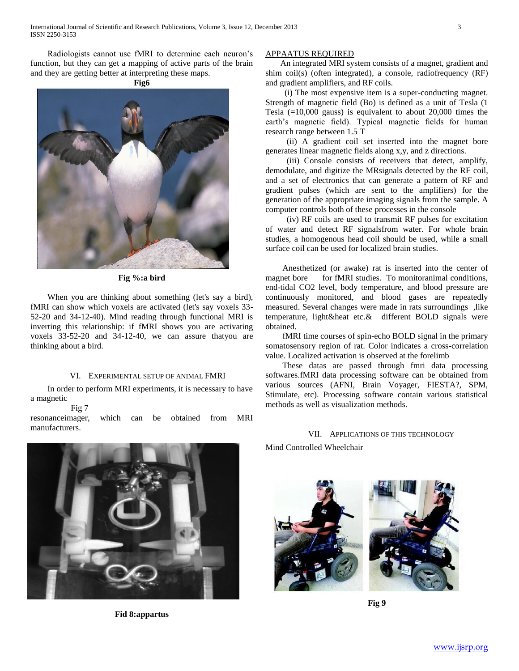Radiologists cannot use fMRI to determine each neuron's function, but they can get a mapping of active parts of the brain and they are getting better at interpreting these maps.



**Fig %:a bird**

 When you are thinking about something (let's say a bird), fMRI can show which voxels are activated (let's say voxels 33- 52-20 and 34-12-40). Mind reading through functional MRI is inverting this relationship: if fMRI shows you are activating voxels 33-52-20 and 34-12-40, we can assure thatyou are thinking about a bird.

### VI. EXPERIMENTAL SETUP OF ANIMAL FMRI

 In order to perform MRI experiments, it is necessary to have a magnetic

Fig 7

resonanceimager, which can be obtained from MRI manufacturers.

#### APPAATUS REQUIRED

 An integrated MRI system consists of a magnet, gradient and shim coil(s) (often integrated), a console, radiofrequency (RF) and gradient amplifiers, and RF coils.

 (i) The most expensive item is a super-conducting magnet. Strength of magnetic field (Bo) is defined as a unit of Tesla (1 Tesla  $(=10,000 \text{ gauss})$  is equivalent to about 20,000 times the earth's magnetic field). Typical magnetic fields for human research range between 1.5 T

 (ii) A gradient coil set inserted into the magnet bore generates linear magnetic fields along x,y, and z directions.

 (iii) Console consists of receivers that detect, amplify, demodulate, and digitize the MRsignals detected by the RF coil, and a set of electronics that can generate a pattern of RF and gradient pulses (which are sent to the amplifiers) for the generation of the appropriate imaging signals from the sample. A computer controls both of these processes in the console

 (iv) RF coils are used to transmit RF pulses for excitation of water and detect RF signalsfrom water. For whole brain studies, a homogenous head coil should be used, while a small surface coil can be used for localized brain studies.

 Anesthetized (or awake) rat is inserted into the center of magnet bore for fMRI studies. To monitoranimal conditions, end-tidal CO2 level, body temperature, and blood pressure are continuously monitored, and blood gases are repeatedly measured. Several changes were made in rats surroundings ,like temperature, light&heat etc.& different BOLD signals were obtained.

 fMRI time courses of spin-echo BOLD signal in the primary somatosensory region of rat. Color indicates a cross-correlation value. Localized activation is observed at the forelimb

 These datas are passed through fmri data processing softwares.fMRI data processing software can be obtained from various sources (AFNI, Brain Voyager, FIESTA?, SPM, Stimulate, etc). Processing software contain various statistical methods as well as visualization methods.

VII. APPLICATIONS OF THIS TECHNOLOGY Mind Controlled Wheelchair



**Fid 8:appartus**





**Fig 9**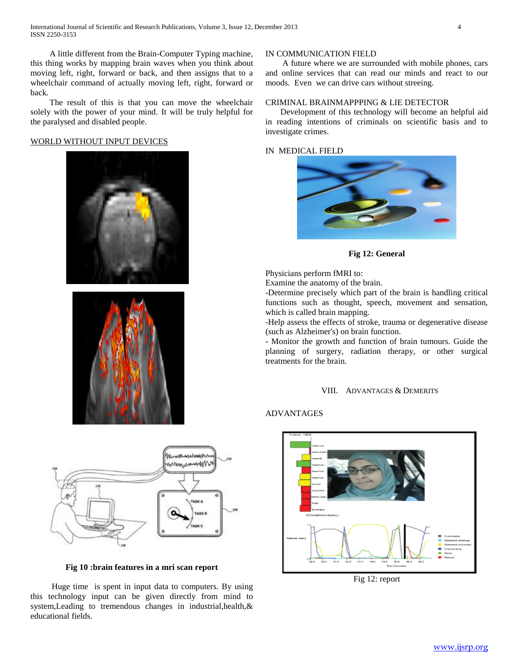A little different from the Brain-Computer Typing machine, this thing works by mapping brain waves when you think about moving left, right, forward or back, and then assigns that to a wheelchair command of actually moving left, right, forward or back.

 The result of this is that you can move the wheelchair solely with the power of your mind. It will be truly helpful for the paralysed and disabled people.

# WORLD WITHOUT INPUT DEVICES







# **Fig 10 :brain features in a mri scan report**

 Huge time is spent in input data to computers. By using this technology input can be given directly from mind to system,Leading to tremendous changes in industrial,health,& educational fields.

#### IN COMMUNICATION FIELD

 A future where we are surrounded with mobile phones, cars and online services that can read our minds and react to our moods. Even we can drive cars without streeing.

# CRIMINAL BRAINMAPPPING & LIE DETECTOR

 Development of this technology will become an helpful aid in reading intentions of criminals on scientific basis and to investigate crimes.

# IN MEDICAL FIELD



**Fig 12: General**

Physicians perform fMRI to:

Examine the anatomy of the brain.

-Determine precisely which part of the brain is handling critical functions such as thought, speech, movement and sensation, which is called brain mapping.

-Help assess the effects of stroke, trauma or degenerative disease (such as Alzheimer's) on brain function.

- Monitor the growth and function of brain tumours. Guide the planning of surgery, radiation therapy, or other surgical treatments for the brain.

# VIII. ADVANTAGES & DEMERITS

## ADVANTAGES



Fig 12: report